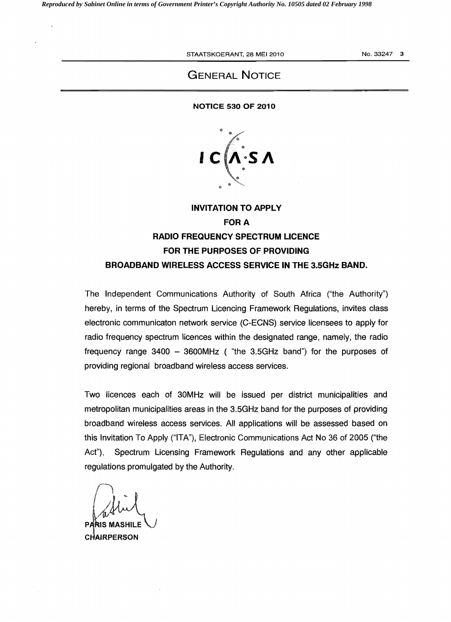STAATSKOERANT. 28 MEI 2010 NO. 33247 3

## GENERAL NOTICE

#### NOTICE 530 OF 2010



# INVITATION TO APPLY **FOR A** RADIO FREQUENCY SPECTRUM LICENCE FOR THE PURPOSES OF PROVIDING BROADBAND WIRELESS ACCESS SERVICE IN THE 3.5GHz BAND.

The Independent Communications Authority of South Africa ("the Authority") hereby, in terms of the Spectrum Licencing Framework Regulations, invites class electronic communicaton network service (C-ECNS) service licensees to apply for radio frequency spectrum licences within the designated range, namely, the radio frequency range  $3400 - 3600$ MHz ("the 3.5GHz band") for the purposes of providing regional broadband wireless access services.

Two licences each of 30MHz will be issued per district municipalities and metropolitan municipalities areas in the 3.5GHz band for the purposes of providing broadband wireless access services. All applications will be assessed based on this Invitation To Apply ("ITA"), Electronic Communications Act No 36 of 2005 ("the Act"), Spectrum Licensing Framework Regulations and any other applicable regulations promulgated by the Authority.

 $\bigcap_{I}$ PARIS MASHILE

**CHAIRPERSON**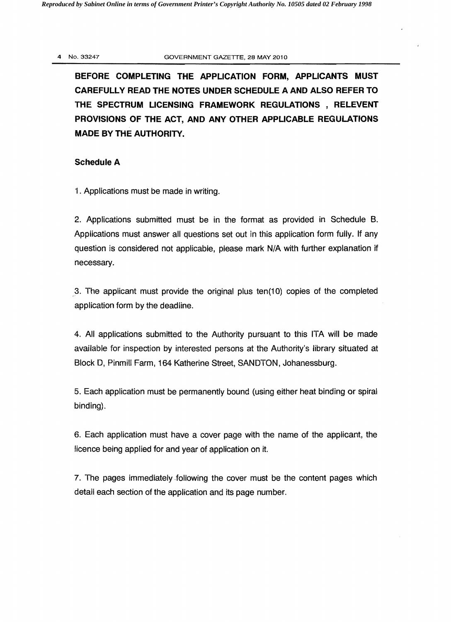#### 4 No.33247 GOVERNMENT GAZETTE, 28 MAY 2010

**BEFORE COMPLETING THE APPLICATION FORM, APPLICANTS MUST CAREFULLY READ THE NOTES UNDER SCHEDULE A AND ALSO REFER TO THE SPECTRUM LICENSING FRAMEWORK REGULATIONS, RELEVENT PROVISIONS OF THE** ACT, **AND ANY OTHER APPLICABLE REGULATIONS MADE BY THE AUTHORITY.** 

#### **Schedule A**

1. Applications must be made in writing.

2. Applications submitted must be in the format as provided in Schedule B. Applications must answer all questions set out in this application form fully. If any question is considered not applicable, please mark N/A with further explanation if necessary.

,3. The applicant must provide the original plus ten(10) copies of the completed application form by the deadline.

4. All applications submitted to the Authority pursuant to this ITA will be made available for inspection by interested persons at the Authority's library situated at Block 0, Pinmill Farm, 164 Katherine Street, SANOTON, Johanessburg.

5. Each application must be permanently bound (using either heat binding or spiral binding).

6. Each application must have a cover page with the name of the applicant, the licence being applied for and year of application on it.

7. The pages immediately following the cover must be the content pages which detail each section of the application and its page number.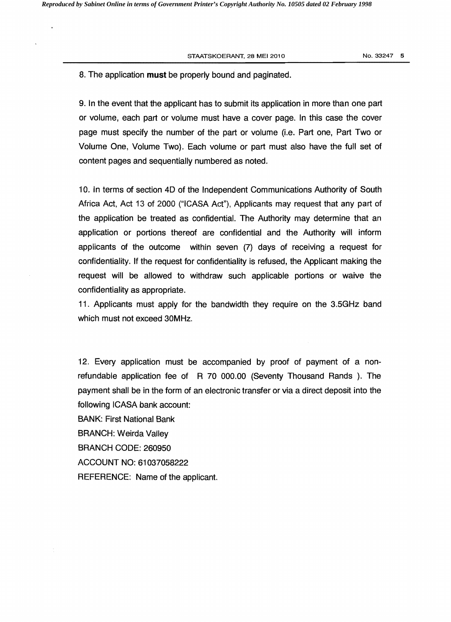STAATSKOERANT, 28 MEI 2010 NO. 33247 5

### 8. The application **must** be properly bound and paginated.

9. In the event that the applicant has to submit its application in more than one part or volume, each part or volume must have a cover page. In this case the cover page must specify the number of the part or volume (i.e. Part one, Part Two or Volume One, Volume Two). Each volume or part must also have the full set of content pages and sequentially numbered as noted.

10. In terms of section 4D of the Independent Communications Authority of South Africa Act, Act 13 of 2000 ("ICASA Act"), Applicants may request that any part of the application be treated as confidential. The Authority may determine that an application or portions thereof are confidential and the Authority will inform applicants of the outcome within seven (7) days of receiving a request for confidentiality. If the request for confidentiality is refused, the Applicant making the request will be allowed to withdraw such applicable portions or waive the confidentiality as appropriate.

11. Applicants must apply for the bandwidth they require on the 3.5GHz band which must not exceed 30MHz.

12. Every application must be accompanied by proof of payment of a nonrefundable application fee of R 70 000.00 (Seventy Thousand Rands ). The payment shall be in the form of an electronic transfer or via a direct deposit into the following ICASA bank account:

BANK: First National Bank

BRANCH: Weirda Valley

BRANCH CODE: 260950

ACCOUNT NO: 61037058222

REFERENCE: Name of the applicant.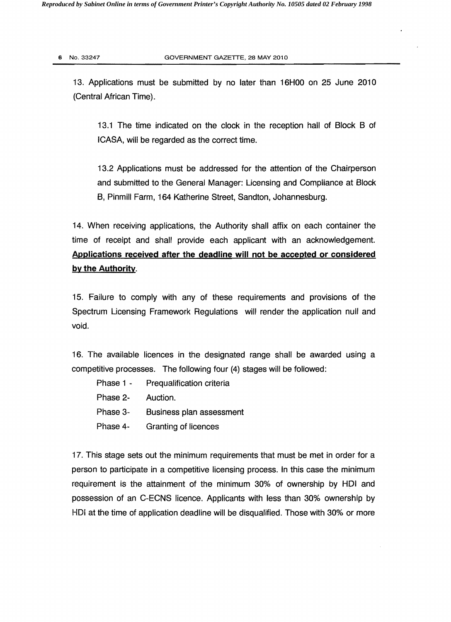13. Applications must be submitted by no later than 16HOO on 25 June 2010 (Central African Time).

13.1 The time indicated on the clock in the reception hall of Block B of ICASA, will be regarded as the correct time.

13.2 Applications must be addressed for the attention of the Chairperson and submitted to the General Manager: Licensing and Compliance at Block B, Pinmill Farm, 164 Katherine Street, Sandton, Johannesburg.

14. When receiving applications, the Authority shall affix on each container the time of receipt and shall provide each applicant with an acknowledgement. Applications received after the deadline will not be accepted or considered by the Authority.

15. Failure to comply with any of these requirements and provisions of the Spectrum Licensing Framework Regulations will render the application null and void.

16. The available licences in the designated range shall be awarded using a competitive processes. The following four (4) stages will be followed:

- Phase 1 Prequalification criteria
- Phase 2- Auction.
- Phase 3- Business plan assessment
- Phase 4- Granting of licences

17. This stage sets out the minimum requirements that must be met in order for a person to participate in a competitive licensing process. In this case the minimum requirement is the attainment of the minimum 30% of ownership by HDI and possession of an C-ECNS licence. Applicants with less than 30% ownership by HDi at the time of application deadline will be disqualified. Those with 30% or more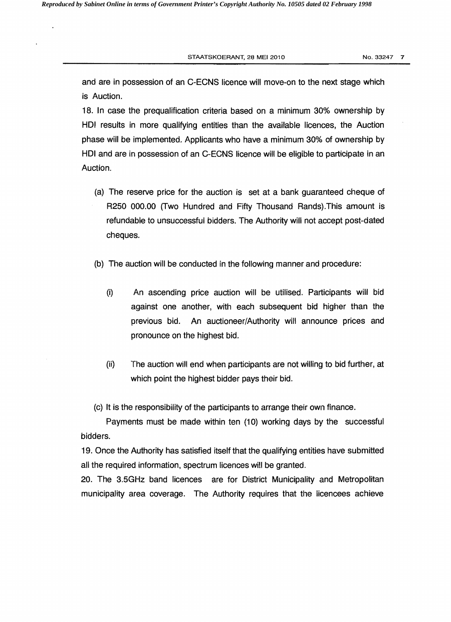STAATSKOERANT, 28 MEI 2010 **No. 33247 7** 

and are in possession of an C-ECNS licence will move-on to the next stage which is Auction.

18. In case the prequalification criteria based on a minimum 30% ownership by HOI results in more qualifying entities than the available licences, the Auction phase will be implemented. Applicants who have a minimum 30% of ownership by HOI and are in possession of an C-ECNS licence will be eligible to participate in an Auction.

- (a) The reserve price for the auction is set at a bank guaranteed cheque of R250 000.00 (Two Hundred and Fifty Thousand Rands).This amount is refundable to unsuccessful bidders. The Authority will not accept post-dated cheques.
- (b) The auction will be conducted in the following manner and procedure:
	- (i) An ascending price auction will be utilised. Participants will bid against one another, with each subsequent bid higher than the previous bid. An auctioneer/Authority will announce prices and pronounce on the highest bid.
	- (ii) The auction will end when participants are not willing to bid further, at which point the highest bidder pays their bid.

(c) It is the responsibility of the participants to arrange their own finance.

Payments must be made within ten (10) working days by the successful bidders.

19. Once the Authority has satisfied itself that the qualifying entities have submitted all the required information, spectrum licences will be granted.

20. The 3.5GHz band licences are for District Municipality and Metropolitan municipality area coverage. The Authority requires that the licencees achieve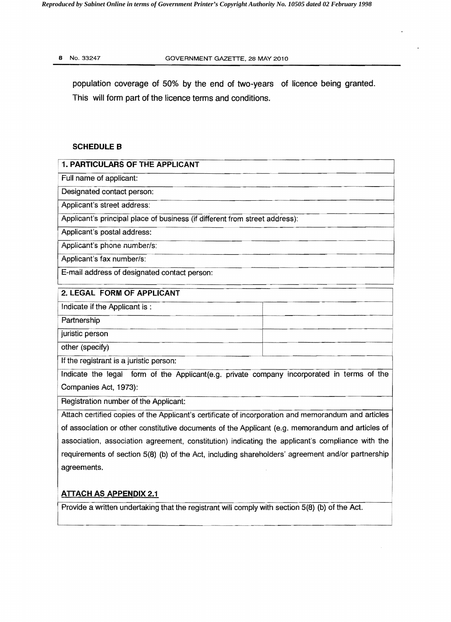population coverage of 50% by the end of two-years of licence being granted. This will form part of the licence terms and conditions.

## SCHEDULE B

| <b>1. PARTICULARS OF THE APPLICANT</b>                                                              |
|-----------------------------------------------------------------------------------------------------|
| Full name of applicant:                                                                             |
| Designated contact person:                                                                          |
| Applicant's street address:                                                                         |
| Applicant's principal place of business (if different from street address):                         |
| Applicant's postal address:                                                                         |
| Applicant's phone number/s:                                                                         |
| Applicant's fax number/s:                                                                           |
| E-mail address of designated contact person:                                                        |
| 2. LEGAL FORM OF APPLICANT                                                                          |
| Indicate if the Applicant is:                                                                       |
| Partnership                                                                                         |
| juristic person                                                                                     |
| other (specify)                                                                                     |
| If the registrant is a juristic person:                                                             |
| Indicate the legal form of the Applicant(e.g. private company incorporated in terms of the          |
| Companies Act, 1973):                                                                               |
| Registration number of the Applicant:                                                               |
| Attach certified copies of the Applicant's certificate of incorporation and memorandum and articles |
| of association or other constitutive documents of the Applicant (e.g. memorandum and articles of    |
| association, association agreement, constitution) indicating the applicant's compliance with the    |
| requirements of section 5(8) (b) of the Act, including shareholders' agreement and/or partnership   |
| agreements.                                                                                         |

## ATTACH AS APPENDIX 2.1

i

I

IProvide a written undertaking that the registrant will comply with section 5(8) (b) of the Act.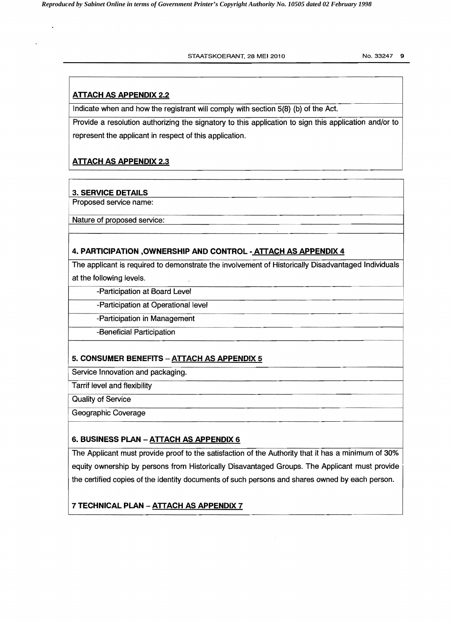#### STAATSKOERANT, 28 MEI 2010 No. 33247 9

## ATTACH AS APPENDIX 2.2

Indicate when and how the registrant will comply with section 5(8) (b) of the Act.

Provide a resolution authorizing the signatory to this application to sign this application and/or to represent the applicant in respect of this application.

## ATTACH AS APPENDIX 2.3

## 3. SERVICE DETAILS

Proposed service name:

Nature of proposed service:

## 4. PARTICIPATION ,OWNERSHIP AND CONTROL· ATTACH AS APPENDIX 4

The applicant is required to demonstrate the involvement of Historically Disadvantaged Individuals at the following levels.

-Participation at Board Level

-Participation at Operational level

-Participation in Management

-Beneficial Participation

## 5. CONSUMER BENEFITS - ATTACH AS APPENDIX 5

Service Innovation and packaging.

Tarrif level and flexibility

Quality of Service

Geographic Coverage

## 6. BUSINESS PLAN - ATTACH AS APPENDIX 6

The Applicant must provide proof to the satisfaction of the Authority that it has a minimum of 30% equity ownership by persons from Historically Disavantaged Groups. The Applicant must provide the certified copies of the identity documents of such persons and shares owned by each person.

7 TECHNICAL PLAN - ATTACH AS APPENDIX 7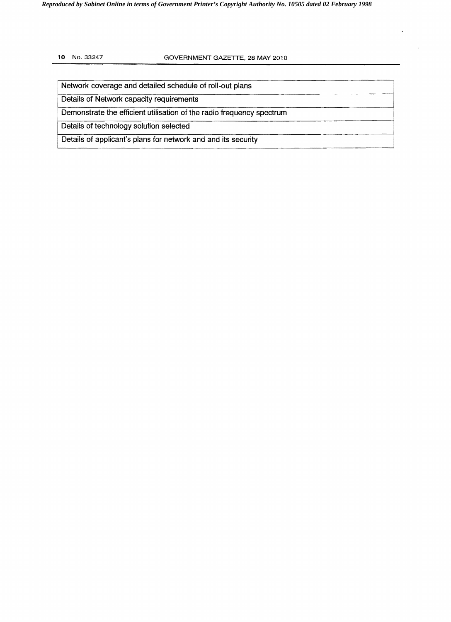#### 10 No. 33247 GOVERNMENT GAZETTE, 28 MAY 2010

Network coverage and detailed schedule of roll-out plans

Details of Network capacity requirements

Demonstrate the efficient utilisation of the radio frequency spectrum

Details of technology solution selected

Details of applicant's plans for network and and its security